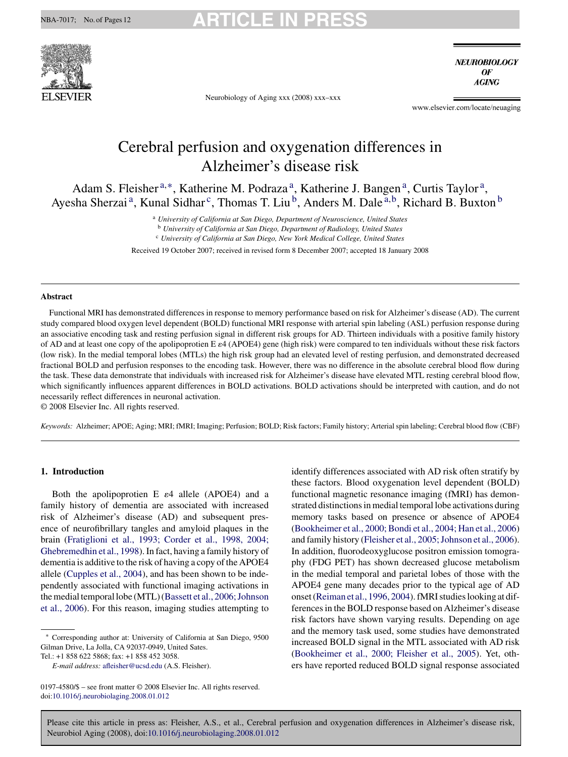

**NEUROBIOLOGY**  $\bm{0}$ F **AGING** 

Neurobiology of Aging xxx (2008) xxx–xxx

www.elsevier.com/locate/neuaging

# Cerebral perfusion and oxygenation differences in Alzheimer's disease risk

Adam S. Fleisher<sup>a,∗</sup>, Katherine M. Podraza<sup>a</sup>, Katherine J. Bangen<sup>a</sup>, Curtis Taylor<sup>a</sup>, Ayesha Sherzai<sup>a</sup>, Kunal Sidhar<sup>c</sup>, Thomas T. Liu<sup>b</sup>, Anders M. Dale<sup>a,b</sup>, Richard B. Buxton<sup>b</sup>

<sup>a</sup> *University of California at San Diego, Department of Neuroscience, United States*

<sup>b</sup> *University of California at San Diego, Department of Radiology, United States*

<sup>c</sup> *University of California at San Diego, New York Medical College, United States*

Received 19 October 2007; received in revised form 8 December 2007; accepted 18 January 2008

### **Abstract**

Functional MRI has demonstrated differences in response to memory performance based on risk for Alzheimer's disease (AD). The current study compared blood oxygen level dependent (BOLD) functional MRI response with arterial spin labeling (ASL) perfusion response during an associative encoding task and resting perfusion signal in different risk groups for AD. Thirteen individuals with a positive family history of AD and at least one copy of the apolipoprotien E  $\varepsilon$ 4 (APOE4) gene (high risk) were compared to ten individuals without these risk factors (low risk). In the medial temporal lobes (MTLs) the high risk group had an elevated level of resting perfusion, and demonstrated decreased fractional BOLD and perfusion responses to the encoding task. However, there was no difference in the absolute cerebral blood flow during the task. These data demonstrate that individuals with increased risk for Alzheimer's disease have elevated MTL resting cerebral blood flow, which significantly influences apparent differences in BOLD activations. BOLD activations should be interpreted with caution, and do not necessarily reflect differences in neuronal activation.

© 2008 Elsevier Inc. All rights reserved.

*Keywords:* Alzheimer; APOE; Aging; MRI; fMRI; Imaging; Perfusion; BOLD; Risk factors; Family history; Arterial spin labeling; Cerebral blood flow (CBF)

# **1. Introduction**

Both the apolipoprotien E  $\varepsilon$ 4 allele (APOE4) and a family history of dementia are associated with increased risk of Alzheimer's disease (AD) and subsequent presence of neurofibrillary tangles and amyloid plaques in the brain ([Fratiglioni et al., 1993; Corder et al., 1998, 2004;](#page-10-0) [Ghebremedhin et al., 1998\).](#page-10-0) In fact, having a family history of dementia is additive to the risk of having a copy of the APOE4 allele ([Cupples et al., 2004\),](#page-9-0) and has been shown to be independently associated with functional imaging activations in the medial temporal lobe (MTL) ([Bassett et al., 2006; Johnson](#page-9-0) [et al., 2006\).](#page-9-0) For this reason, imaging studies attempting to

Tel.: +1 858 622 5868; fax: +1 858 452 3058.

identify differences associated with AD risk often stratify by these factors. Blood oxygenation level dependent (BOLD) functional magnetic resonance imaging (fMRI) has demonstrated distinctions in medial temporal lobe activations during memory tasks based on presence or absence of APOE4 ([Bookheimer et al., 2000; Bondi et al., 2004; Han et al., 2006\)](#page-9-0) and family history ([Fleisher et al., 2005; Johnson et al., 2006\).](#page-9-0) In addition, fluorodeoxyglucose positron emission tomography (FDG PET) has shown decreased glucose metabolism in the medial temporal and parietal lobes of those with the APOE4 gene many decades prior to the typical age of AD onset [\(Reiman et al., 1996, 2004\).](#page-10-0) fMRI studies looking at differences in the BOLD response based on Alzheimer's disease risk factors have shown varying results. Depending on age and the memory task used, some studies have demonstrated increased BOLD signal in the MTL associated with AD risk ([Bookheimer et al., 2000; Fleisher et al., 2005\).](#page-9-0) Yet, others have reported reduced BOLD signal response associated

<sup>∗</sup> Corresponding author at: University of California at San Diego, 9500 Gilman Drive, La Jolla, CA 92037-0949, United Sates.

*E-mail address:* [afleisher@ucsd.edu](mailto:afleisher@ucsd.edu) (A.S. Fleisher).

<sup>0197-4580/\$ –</sup> see front matter © 2008 Elsevier Inc. All rights reserved. doi[:10.1016/j.neurobiolaging.2008.01.012](dx.doi.org/10.1016/j.neurobiolaging.2008.01.012)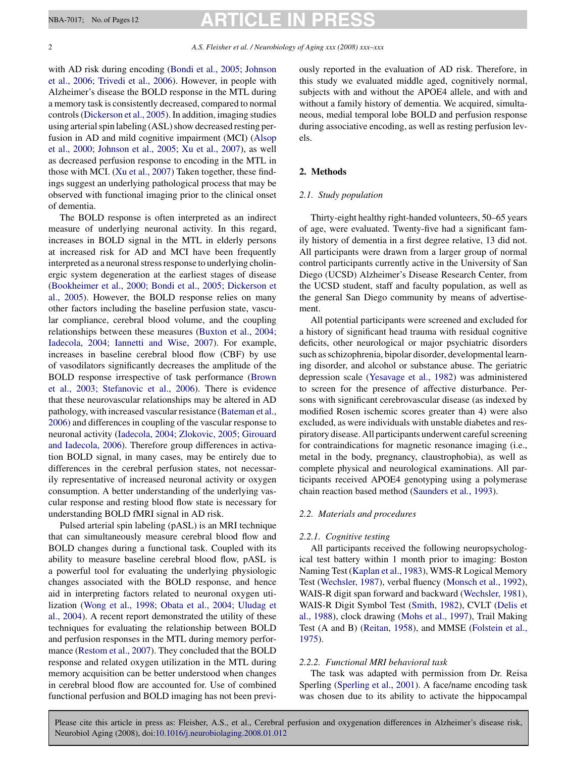with AD risk during encoding ([Bondi et al., 2005; Johnson](#page-9-0) [et al., 2006; Trivedi et al., 2006\).](#page-9-0) However, in people with Alzheimer's disease the BOLD response in the MTL during a memory task is consistently decreased, compared to normal controls ([Dickerson et al., 2005\).](#page-9-0) In addition, imaging studies using arterial spin labeling (ASL) show decreased resting perfusion in AD and mild cognitive impairment (MCI) [\(Alsop](#page-9-0) [et al., 2000; Johnson et al., 2005; Xu et al., 2007\),](#page-9-0) as well as decreased perfusion response to encoding in the MTL in those with MCI. ([Xu et al., 2007\)](#page-11-0) Taken together, these findings suggest an underlying pathological process that may be observed with functional imaging prior to the clinical onset of dementia.

The BOLD response is often interpreted as an indirect measure of underlying neuronal activity. In this regard, increases in BOLD signal in the MTL in elderly persons at increased risk for AD and MCI have been frequently interpreted as a neuronal stress response to underlying cholinergic system degeneration at the earliest stages of disease [\(Bookheimer et al., 2000; Bondi et al., 2005; Dickerson et](#page-9-0) [al., 2005\).](#page-9-0) However, the BOLD response relies on many other factors including the baseline perfusion state, vascular compliance, cerebral blood volume, and the coupling relationships between these measures ([Buxton et al., 2004;](#page-9-0) [Iadecola, 2004; Iannetti and Wise, 2007\).](#page-9-0) For example, increases in baseline cerebral blood flow (CBF) by use of vasodilators significantly decreases the amplitude of the BOLD response irrespective of task performance ([Brown](#page-9-0) [et al., 2003; Stefanovic et al., 2006\).](#page-9-0) There is evidence that these neurovascular relationships may be altered in AD pathology, with increased vascular resistance ([Bateman et al.,](#page-9-0) [2006\)](#page-9-0) and differences in coupling of the vascular response to neuronal activity ([Iadecola, 2004; Zlokovic, 2005; Girouard](#page-10-0) [and Iadecola, 2006\).](#page-10-0) Therefore group differences in activation BOLD signal, in many cases, may be entirely due to differences in the cerebral perfusion states, not necessarily representative of increased neuronal activity or oxygen consumption. A better understanding of the underlying vascular response and resting blood flow state is necessary for understanding BOLD fMRI signal in AD risk.

Pulsed arterial spin labeling (pASL) is an MRI technique that can simultaneously measure cerebral blood flow and BOLD changes during a functional task. Coupled with its ability to measure baseline cerebral blood flow, pASL is a powerful tool for evaluating the underlying physiologic changes associated with the BOLD response, and hence aid in interpreting factors related to neuronal oxygen utilization ([Wong et al., 1998; Obata et al., 2004; Uludag et](#page-11-0) [al., 2004\).](#page-11-0) A recent report demonstrated the utility of these techniques for evaluating the relationship between BOLD and perfusion responses in the MTL during memory performance [\(Restom et al., 2007\).](#page-10-0) They concluded that the BOLD response and related oxygen utilization in the MTL during memory acquisition can be better understood when changes in cerebral blood flow are accounted for. Use of combined functional perfusion and BOLD imaging has not been previously reported in the evaluation of AD risk. Therefore, in this study we evaluated middle aged, cognitively normal, subjects with and without the APOE4 allele, and with and without a family history of dementia. We acquired, simultaneous, medial temporal lobe BOLD and perfusion response during associative encoding, as well as resting perfusion levels.

# **2. Methods**

## *2.1. Study population*

Thirty-eight healthy right-handed volunteers, 50–65 years of age, were evaluated. Twenty-five had a significant family history of dementia in a first degree relative, 13 did not. All participants were drawn from a larger group of normal control participants currently active in the University of San Diego (UCSD) Alzheimer's Disease Research Center, from the UCSD student, staff and faculty population, as well as the general San Diego community by means of advertisement.

All potential participants were screened and excluded for a history of significant head trauma with residual cognitive deficits, other neurological or major psychiatric disorders such as schizophrenia, bipolar disorder, developmental learning disorder, and alcohol or substance abuse. The geriatric depression scale [\(Yesavage et al., 1982\)](#page-11-0) was administered to screen for the presence of affective disturbance. Persons with significant cerebrovascular disease (as indexed by modified Rosen ischemic scores greater than 4) were also excluded, as were individuals with unstable diabetes and respiratory disease. All participants underwent careful screening for contraindications for magnetic resonance imaging (i.e., metal in the body, pregnancy, claustrophobia), as well as complete physical and neurological examinations. All participants received APOE4 genotyping using a polymerase chain reaction based method [\(Saunders et al., 1993\).](#page-10-0)

## *2.2. Materials and procedures*

### *2.2.1. Cognitive testing*

All participants received the following neuropsychological test battery within 1 month prior to imaging: Boston Naming Test [\(Kaplan et al., 1983\),](#page-10-0) WMS-R Logical Memory Test [\(Wechsler, 1987\),](#page-11-0) verbal fluency [\(Monsch et al., 1992\),](#page-10-0) WAIS-R digit span forward and backward ([Wechsler, 1981\),](#page-11-0) WAIS-R Digit Symbol Test ([Smith, 1982\),](#page-10-0) CVLT ([Delis et](#page-9-0) [al., 1988\),](#page-9-0) clock drawing ([Mohs et al., 1997\),](#page-10-0) Trail Making Test (A and B) [\(Reitan, 1958\),](#page-10-0) and MMSE [\(Folstein et al.,](#page-10-0) [1975\).](#page-10-0)

# *2.2.2. Functional MRI behavioral task*

The task was adapted with permission from Dr. Reisa Sperling ([Sperling et al., 2001\).](#page-11-0) A face/name encoding task was chosen due to its ability to activate the hippocampal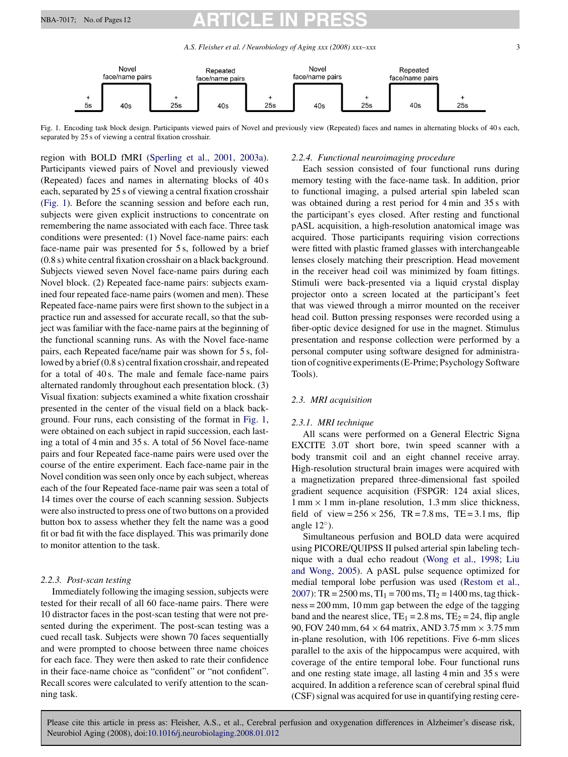*A.S. Fleisher et al. / Neurobiology of Aging xxx (2008) xxx–xxx* 3



Fig. 1. Encoding task block design. Participants viewed pairs of Novel and previously view (Repeated) faces and names in alternating blocks of 40 s each, separated by 25 s of viewing a central fixation crosshair.

region with BOLD fMRI [\(Sperling et al., 2001, 2003a\).](#page-11-0) Participants viewed pairs of Novel and previously viewed (Repeated) faces and names in alternating blocks of 40 s each, separated by 25 s of viewing a central fixation crosshair (Fig. 1). Before the scanning session and before each run, subjects were given explicit instructions to concentrate on remembering the name associated with each face. Three task conditions were presented: (1) Novel face-name pairs: each face-name pair was presented for 5 s, followed by a brief (0.8 s) white central fixation crosshair on a black background. Subjects viewed seven Novel face-name pairs during each Novel block. (2) Repeated face-name pairs: subjects examined four repeated face-name pairs (women and men). These Repeated face-name pairs were first shown to the subject in a practice run and assessed for accurate recall, so that the subject was familiar with the face-name pairs at the beginning of the functional scanning runs. As with the Novel face-name pairs, each Repeated face/name pair was shown for 5 s, followed by a brief (0.8 s) central fixation crosshair, and repeated for a total of 40 s. The male and female face-name pairs alternated randomly throughout each presentation block. (3) Visual fixation: subjects examined a white fixation crosshair presented in the center of the visual field on a black background. Four runs, each consisting of the format in Fig. 1, were obtained on each subject in rapid succession, each lasting a total of 4 min and 35 s. A total of 56 Novel face-name pairs and four Repeated face-name pairs were used over the course of the entire experiment. Each face-name pair in the Novel condition was seen only once by each subject, whereas each of the four Repeated face-name pair was seen a total of 14 times over the course of each scanning session. Subjects were also instructed to press one of two buttons on a provided button box to assess whether they felt the name was a good fit or bad fit with the face displayed. This was primarily done to monitor attention to the task.

### *2.2.3. Post-scan testing*

Immediately following the imaging session, subjects were tested for their recall of all 60 face-name pairs. There were 10 distractor faces in the post-scan testing that were not presented during the experiment. The post-scan testing was a cued recall task. Subjects were shown 70 faces sequentially and were prompted to choose between three name choices for each face. They were then asked to rate their confidence in their face-name choice as "confident" or "not confident". Recall scores were calculated to verify attention to the scanning task.

## *2.2.4. Functional neuroimaging procedure*

Each session consisted of four functional runs during memory testing with the face-name task. In addition, prior to functional imaging, a pulsed arterial spin labeled scan was obtained during a rest period for 4 min and 35 s with the participant's eyes closed. After resting and functional pASL acquisition, a high-resolution anatomical image was acquired. Those participants requiring vision corrections were fitted with plastic framed glasses with interchangeable lenses closely matching their prescription. Head movement in the receiver head coil was minimized by foam fittings. Stimuli were back-presented via a liquid crystal display projector onto a screen located at the participant's feet that was viewed through a mirror mounted on the receiver head coil. Button pressing responses were recorded using a fiber-optic device designed for use in the magnet. Stimulus presentation and response collection were performed by a personal computer using software designed for administration of cognitive experiments (E-Prime; Psychology Software Tools).

# *2.3. MRI acquisition*

### *2.3.1. MRI technique*

All scans were performed on a General Electric Signa EXCITE 3.0T short bore, twin speed scanner with a body transmit coil and an eight channel receive array. High-resolution structural brain images were acquired with a magnetization prepared three-dimensional fast spoiled gradient sequence acquisition (FSPGR: 124 axial slices,  $1 \text{ mm} \times 1 \text{ mm}$  in-plane resolution, 1.3 mm slice thickness, field of view =  $256 \times 256$ , TR = 7.8 ms, TE = 3.1 ms, flip angle 12◦).

Simultaneous perfusion and BOLD data were acquired using PICORE/QUIPSS II pulsed arterial spin labeling technique with a dual echo readout ([Wong et al., 1998; Liu](#page-11-0) [and Wong, 2005\).](#page-11-0) A pASL pulse sequence optimized for medial temporal lobe perfusion was used [\(Restom et al.,](#page-10-0) [2007\):](#page-10-0) TR = 2500 ms, TI<sub>1</sub> = 700 ms, TI<sub>2</sub> = 1400 ms, tag thickness = 200 mm, 10 mm gap between the edge of the tagging band and the nearest slice,  $TE_1 = 2.8$  ms,  $TE_2 = 24$ , flip angle 90, FOV 240 mm,  $64 \times 64$  matrix, AND 3.75 mm  $\times$  3.75 mm in-plane resolution, with 106 repetitions. Five 6-mm slices parallel to the axis of the hippocampus were acquired, with coverage of the entire temporal lobe. Four functional runs and one resting state image, all lasting 4 min and 35 s were acquired. In addition a reference scan of cerebral spinal fluid (CSF) signal was acquired for use in quantifying resting cere-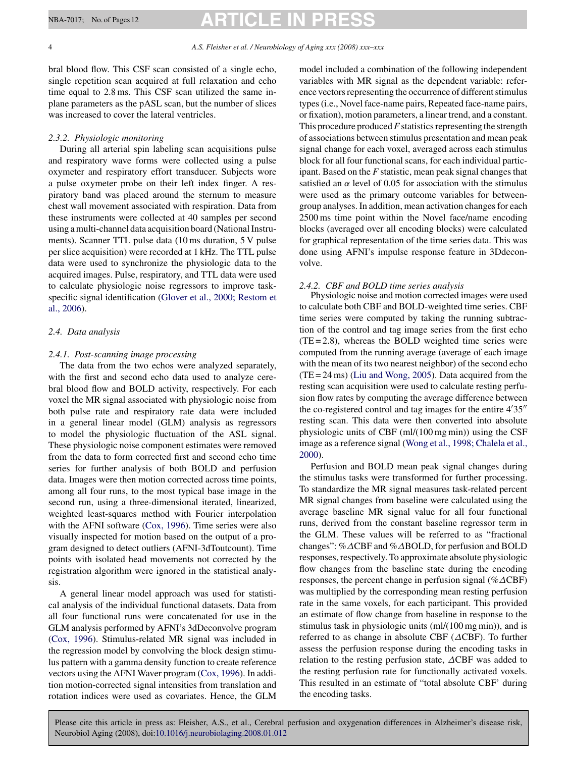bral blood flow. This CSF scan consisted of a single echo, single repetition scan acquired at full relaxation and echo time equal to 2.8 ms. This CSF scan utilized the same inplane parameters as the pASL scan, but the number of slices was increased to cover the lateral ventricles.

# *2.3.2. Physiologic monitoring*

During all arterial spin labeling scan acquisitions pulse and respiratory wave forms were collected using a pulse oxymeter and respiratory effort transducer. Subjects wore a pulse oxymeter probe on their left index finger. A respiratory band was placed around the sternum to measure chest wall movement associated with respiration. Data from these instruments were collected at 40 samples per second using a multi-channel data acquisition board (National Instruments). Scanner TTL pulse data (10 ms duration, 5 V pulse per slice acquisition) were recorded at 1 kHz. The TTL pulse data were used to synchronize the physiologic data to the acquired images. Pulse, respiratory, and TTL data were used to calculate physiologic noise regressors to improve taskspecific signal identification [\(Glover et al., 2000; Restom et](#page-10-0) [al., 2006\).](#page-10-0)

# *2.4. Data analysis*

### *2.4.1. Post-scanning image processing*

The data from the two echos were analyzed separately, with the first and second echo data used to analyze cerebral blood flow and BOLD activity, respectively. For each voxel the MR signal associated with physiologic noise from both pulse rate and respiratory rate data were included in a general linear model (GLM) analysis as regressors to model the physiologic fluctuation of the ASL signal. These physiologic noise component estimates were removed from the data to form corrected first and second echo time series for further analysis of both BOLD and perfusion data. Images were then motion corrected across time points, among all four runs, to the most typical base image in the second run, using a three-dimensional iterated, linearized, weighted least-squares method with Fourier interpolation with the AFNI software [\(Cox, 1996\).](#page-9-0) Time series were also visually inspected for motion based on the output of a program designed to detect outliers (AFNI-3dToutcount). Time points with isolated head movements not corrected by the registration algorithm were ignored in the statistical analysis.

A general linear model approach was used for statistical analysis of the individual functional datasets. Data from all four functional runs were concatenated for use in the GLM analysis performed by AFNI's 3dDeconvolve program [\(Cox, 1996\).](#page-9-0) Stimulus-related MR signal was included in the regression model by convolving the block design stimulus pattern with a gamma density function to create reference vectors using the AFNI Waver program [\(Cox, 1996\).](#page-9-0) In addition motion-corrected signal intensities from translation and rotation indices were used as covariates. Hence, the GLM

model included a combination of the following independent variables with MR signal as the dependent variable: reference vectors representing the occurrence of different stimulus types (i.e., Novel face-name pairs, Repeated face-name pairs, or fixation), motion parameters, a linear trend, and a constant. This procedure produced*F*statistics representing the strength of associations between stimulus presentation and mean peak signal change for each voxel, averaged across each stimulus block for all four functional scans, for each individual participant. Based on the *F* statistic, mean peak signal changes that satisfied an  $\alpha$  level of 0.05 for association with the stimulus were used as the primary outcome variables for betweengroup analyses. In addition, mean activation changes for each 2500 ms time point within the Novel face/name encoding blocks (averaged over all encoding blocks) were calculated for graphical representation of the time series data. This was done using AFNI's impulse response feature in 3Ddeconvolve.

### *2.4.2. CBF and BOLD time series analysis*

Physiologic noise and motion corrected images were used to calculate both CBF and BOLD-weighted time series. CBF time series were computed by taking the running subtraction of the control and tag image series from the first echo  $(TE = 2.8)$ , whereas the BOLD weighted time series were computed from the running average (average of each image with the mean of its two nearest neighbor) of the second echo  $(TE = 24 \text{ ms})$  ([Liu and Wong, 2005\).](#page-10-0) Data acquired from the resting scan acquisition were used to calculate resting perfusion flow rates by computing the average difference between the co-registered control and tag images for the entire 4 35 resting scan. This data were then converted into absolute physiologic units of CBF (ml/(100 mg min)) using the CSF image as a reference signal [\(Wong et al., 1998; Chalela et al.,](#page-11-0) [2000\).](#page-11-0)

Perfusion and BOLD mean peak signal changes during the stimulus tasks were transformed for further processing. To standardize the MR signal measures task-related percent MR signal changes from baseline were calculated using the average baseline MR signal value for all four functional runs, derived from the constant baseline regressor term in the GLM. These values will be referred to as "fractional changes": %ΔCBF and %ΔBOLD, for perfusion and BOLD responses, respectively. To approximate absolute physiologic flow changes from the baseline state during the encoding responses, the percent change in perfusion signal ( $\% \triangle CBF$ ) was multiplied by the corresponding mean resting perfusion rate in the same voxels, for each participant. This provided an estimate of flow change from baseline in response to the stimulus task in physiologic units (ml/(100 mg min)), and is referred to as change in absolute CBF (ΔCBF). To further assess the perfusion response during the encoding tasks in relation to the resting perfusion state,  $\triangle CBF$  was added to the resting perfusion rate for functionally activated voxels. This resulted in an estimate of "total absolute CBF' during the encoding tasks.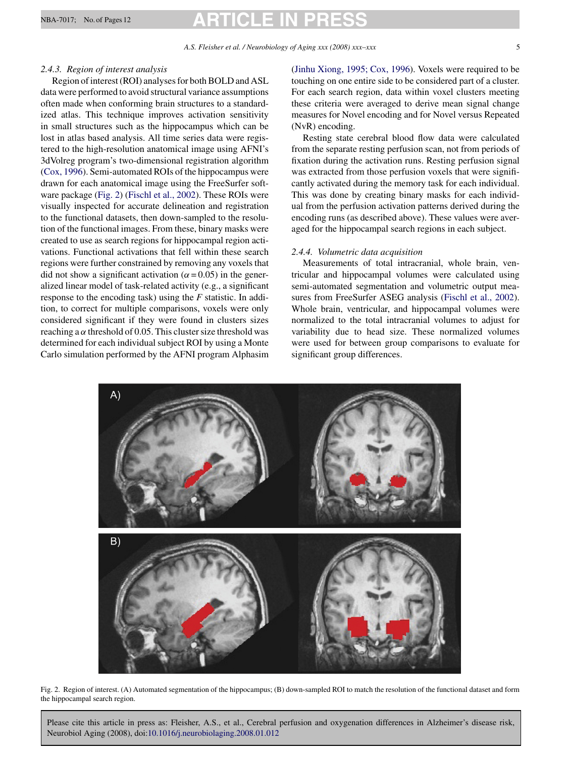### *2.4.3. Region of interest analysis*

Region of interest (ROI) analyses for both BOLD and ASL data were performed to avoid structural variance assumptions often made when conforming brain structures to a standardized atlas. This technique improves activation sensitivity in small structures such as the hippocampus which can be lost in atlas based analysis. All time series data were registered to the high-resolution anatomical image using AFNI's 3dVolreg program's two-dimensional registration algorithm ([Cox, 1996\).](#page-9-0) Semi-automated ROIs of the hippocampus were drawn for each anatomical image using the FreeSurfer software package (Fig. 2) ([Fischl et al., 2002\).](#page-9-0) These ROIs were visually inspected for accurate delineation and registration to the functional datasets, then down-sampled to the resolution of the functional images. From these, binary masks were created to use as search regions for hippocampal region activations. Functional activations that fell within these search regions were further constrained by removing any voxels that did not show a significant activation ( $\alpha$  = 0.05) in the generalized linear model of task-related activity (e.g., a significant response to the encoding task) using the *F* statistic. In addition, to correct for multiple comparisons, voxels were only considered significant if they were found in clusters sizes reaching a  $\alpha$  threshold of 0.05. This cluster size threshold was determined for each individual subject ROI by using a Monte Carlo simulation performed by the AFNI program Alphasim

([Jinhu Xiong, 1995; Cox, 1996\).](#page-10-0) Voxels were required to be touching on one entire side to be considered part of a cluster. For each search region, data within voxel clusters meeting these criteria were averaged to derive mean signal change measures for Novel encoding and for Novel versus Repeated (NvR) encoding.

Resting state cerebral blood flow data were calculated from the separate resting perfusion scan, not from periods of fixation during the activation runs. Resting perfusion signal was extracted from those perfusion voxels that were significantly activated during the memory task for each individual. This was done by creating binary masks for each individual from the perfusion activation patterns derived during the encoding runs (as described above). These values were averaged for the hippocampal search regions in each subject.

## *2.4.4. Volumetric data acquisition*

Measurements of total intracranial, whole brain, ventricular and hippocampal volumes were calculated using semi-automated segmentation and volumetric output measures from FreeSurfer ASEG analysis ([Fischl et al., 2002\).](#page-9-0) Whole brain, ventricular, and hippocampal volumes were normalized to the total intracranial volumes to adjust for variability due to head size. These normalized volumes were used for between group comparisons to evaluate for significant group differences.



Fig. 2. Region of interest. (A) Automated segmentation of the hippocampus; (B) down-sampled ROI to match the resolution of the functional dataset and form the hippocampal search region.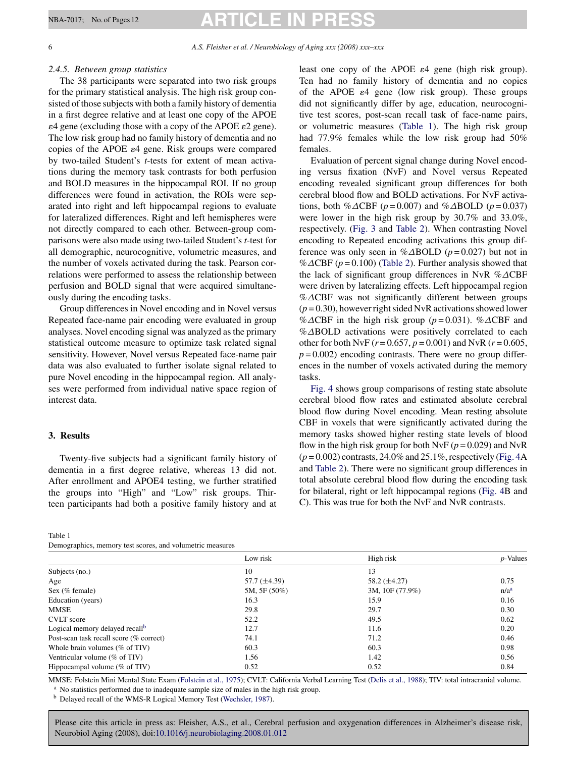### *2.4.5. Between group statistics*

The 38 participants were separated into two risk groups for the primary statistical analysis. The high risk group consisted of those subjects with both a family history of dementia in a first degree relative and at least one copy of the APOE  $\varepsilon$ 4 gene (excluding those with a copy of the APOE  $\varepsilon$ 2 gene). The low risk group had no family history of dementia and no copies of the APOE  $\varepsilon$ 4 gene. Risk groups were compared by two-tailed Student's *t*-tests for extent of mean activations during the memory task contrasts for both perfusion and BOLD measures in the hippocampal ROI. If no group differences were found in activation, the ROIs were separated into right and left hippocampal regions to evaluate for lateralized differences. Right and left hemispheres were not directly compared to each other. Between-group comparisons were also made using two-tailed Student's *t*-test for all demographic, neurocognitive, volumetric measures, and the number of voxels activated during the task. Pearson correlations were performed to assess the relationship between perfusion and BOLD signal that were acquired simultaneously during the encoding tasks.

Group differences in Novel encoding and in Novel versus Repeated face-name pair encoding were evaluated in group analyses. Novel encoding signal was analyzed as the primary statistical outcome measure to optimize task related signal sensitivity. However, Novel versus Repeated face-name pair data was also evaluated to further isolate signal related to pure Novel encoding in the hippocampal region. All analyses were performed from individual native space region of interest data.

### **3. Results**

Twenty-five subjects had a significant family history of dementia in a first degree relative, whereas 13 did not. After enrollment and APOE4 testing, we further stratified the groups into "High" and "Low" risk groups. Thirteen participants had both a positive family history and at

Table 1 Demographics, memory test scores, and volumetric measures

least one copy of the APOE  $\varepsilon$ 4 gene (high risk group). Ten had no family history of dementia and no copies of the APOE  $\varepsilon$ 4 gene (low risk group). These groups did not significantly differ by age, education, neurocognitive test scores, post-scan recall task of face-name pairs, or volumetric measures (Table 1). The high risk group had 77.9% females while the low risk group had 50% females.

Evaluation of percent signal change during Novel encoding versus fixation (NvF) and Novel versus Repeated encoding revealed significant group differences for both cerebral blood flow and BOLD activations. For NvF activations, both % $\triangle$ CBF ( $p = 0.007$ ) and % $\triangle$ BOLD ( $p = 0.037$ ) were lower in the high risk group by 30.7% and 33.0%, respectively. ([Fig. 3](#page-6-0) and [Table 2\).](#page-6-0) When contrasting Novel encoding to Repeated encoding activations this group difference was only seen in % $\triangle BOLD$  ( $p = 0.027$ ) but not in %ΔCBF (*p* = 0.100) [\(Table 2\).](#page-6-0) Further analysis showed that the lack of significant group differences in NvR %ΔCBF were driven by lateralizing effects. Left hippocampal region %ΔCBF was not significantly different between groups  $(p=0.30)$ , however right sided NvR activations showed lower % $\triangle$ CBF in the high risk group ( $p = 0.031$ ). % $\triangle$ CBF and %ΔBOLD activations were positively correlated to each other for both NvF ( $r = 0.657$ ,  $p = 0.001$ ) and NvR ( $r = 0.605$ ,  $p = 0.002$ ) encoding contrasts. There were no group differences in the number of voxels activated during the memory tasks.

[Fig. 4](#page-7-0) shows group comparisons of resting state absolute cerebral blood flow rates and estimated absolute cerebral blood flow during Novel encoding. Mean resting absolute CBF in voxels that were significantly activated during the memory tasks showed higher resting state levels of blood flow in the high risk group for both NvF  $(p = 0.029)$  and NvR  $(p=0.002)$  contrasts, 24.0% and 25.1%, respectively [\(Fig. 4A](#page-7-0)) and [Table 2\).](#page-6-0) There were no significant group differences in total absolute cerebral blood flow during the encoding task for bilateral, right or left hippocampal regions [\(Fig. 4B](#page-7-0) and C). This was true for both the NvF and NvR contrasts.

| Demographics, memory test scores, and volumetric measures |                   |                   |                  |  |  |  |
|-----------------------------------------------------------|-------------------|-------------------|------------------|--|--|--|
|                                                           | Low risk          | High risk         | $p$ -Values      |  |  |  |
| Subjects (no.)                                            | 10                | 13                |                  |  |  |  |
| Age                                                       | 57.7 $(\pm 4.39)$ | 58.2 $(\pm 4.27)$ | 0.75             |  |  |  |
| Sex (% female)                                            | 5M, 5F(50%)       | 3M, 10F (77.9%)   | n/a <sup>a</sup> |  |  |  |
| Education (years)                                         | 16.3              | 15.9              | 0.16             |  |  |  |
| MMSE                                                      | 29.8              | 29.7              | 0.30             |  |  |  |
| CVLT score                                                | 52.2              | 49.5              | 0.62             |  |  |  |
| Logical memory delayed recall <sup>b</sup>                | 12.7              | 11.6              | 0.20             |  |  |  |
| Post-scan task recall score (% correct)                   | 74.1              | 71.2              | 0.46             |  |  |  |
| Whole brain volumes ( $%$ of TIV)                         | 60.3              | 60.3              | 0.98             |  |  |  |
| Ventricular volume (% of TIV)                             | 1.56              | 1.42              | 0.56             |  |  |  |
| Hippocampal volume $(\%$ of TIV)                          | 0.52              | 0.52              | 0.84             |  |  |  |

MMSE: Folstein Mini Mental State Exam [\(Folstein et al., 1975\);](#page-10-0) CVLT: California Verbal Learning Test ([Delis et al., 1988\);](#page-9-0) TIV: total intracranial volume. <sup>a</sup> No statistics performed due to inadequate sample size of males in the high risk group.

<sup>b</sup> Delayed recall of the WMS-R Logical Memory Test ([Wechsler, 1987\).](#page-11-0)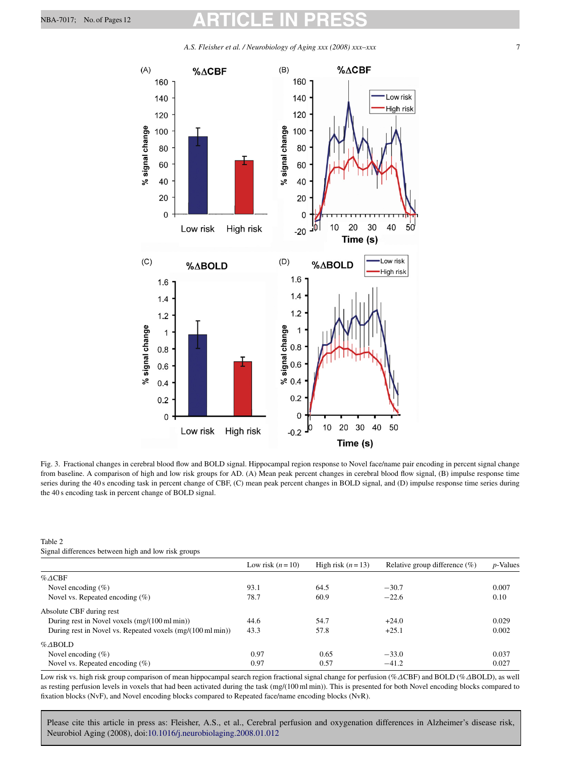*A.S. Fleisher et al. / Neurobiology of Aging xxx (2008) xxx–xxx* 7

<span id="page-6-0"></span>

Fig. 3. Fractional changes in cerebral blood flow and BOLD signal. Hippocampal region response to Novel face/name pair encoding in percent signal change from baseline. A comparison of high and low risk groups for AD. (A) Mean peak percent changes in cerebral blood flow signal, (B) impulse response time series during the 40 s encoding task in percent change of CBF, (C) mean peak percent changes in BOLD signal, and (D) impulse response time series during the 40 s encoding task in percent change of BOLD signal.

| Table 2                                             |  |  |  |  |
|-----------------------------------------------------|--|--|--|--|
| Signal differences between high and low risk groups |  |  |  |  |

|                                                                      | Low risk $(n=10)$ | High risk $(n=13)$ | Relative group difference $(\%)$ | $p$ -Values |
|----------------------------------------------------------------------|-------------------|--------------------|----------------------------------|-------------|
| $% \triangle$ CBF                                                    |                   |                    |                                  |             |
| Novel encoding $(\% )$                                               | 93.1              | 64.5               | $-30.7$                          | 0.007       |
| Novel vs. Repeated encoding $(\%)$                                   | 78.7              | 60.9               | $-22.6$                          | 0.10        |
| Absolute CBF during rest                                             |                   |                    |                                  |             |
| During rest in Novel voxels (mg/(100 ml min))                        | 44.6              | 54.7               | $+24.0$                          | 0.029       |
| During rest in Novel vs. Repeated voxels $(mg/(100 \text{ ml min}))$ | 43.3              | 57.8               | $+25.1$                          | 0.002       |
| $%$ $\triangle$ BOLD                                                 |                   |                    |                                  |             |
| Novel encoding $(\% )$                                               | 0.97              | 0.65               | $-33.0$                          | 0.037       |
| Novel vs. Repeated encoding $(\%)$                                   | 0.97              | 0.57               | $-41.2$                          | 0.027       |

Low risk vs. high risk group comparison of mean hippocampal search region fractional signal change for perfusion (%ΔCBF) and BOLD (%ΔBOLD), as well as resting perfusion levels in voxels that had been activated during the task (mg/(100 ml min)). This is presented for both Novel encoding blocks compared to fixation blocks (NvF), and Novel encoding blocks compared to Repeated face/name encoding blocks (NvR).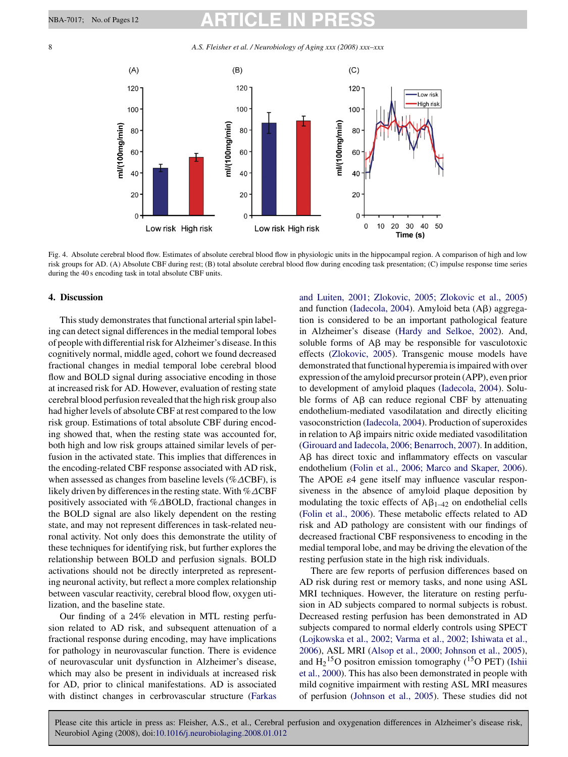<span id="page-7-0"></span>8 *A.S. Fleisher et al. / Neurobiology of Aging xxx (2008) xxx–xxx* 



Fig. 4. Absolute cerebral blood flow. Estimates of absolute cerebral blood flow in physiologic units in the hippocampal region. A comparison of high and low risk groups for AD. (A) Absolute CBF during rest; (B) total absolute cerebral blood flow during encoding task presentation; (C) impulse response time series during the 40 s encoding task in total absolute CBF units.

### **4. Discussion**

This study demonstrates that functional arterial spin labeling can detect signal differences in the medial temporal lobes of people with differential risk for Alzheimer's disease. In this cognitively normal, middle aged, cohort we found decreased fractional changes in medial temporal lobe cerebral blood flow and BOLD signal during associative encoding in those at increased risk for AD. However, evaluation of resting state cerebral blood perfusion revealed that the high risk group also had higher levels of absolute CBF at rest compared to the low risk group. Estimations of total absolute CBF during encoding showed that, when the resting state was accounted for, both high and low risk groups attained similar levels of perfusion in the activated state. This implies that differences in the encoding-related CBF response associated with AD risk, when assessed as changes from baseline levels ( $% \triangle CBF$ ), is likely driven by differences in the resting state. With %ΔCBF positively associated with %ΔBOLD, fractional changes in the BOLD signal are also likely dependent on the resting state, and may not represent differences in task-related neuronal activity. Not only does this demonstrate the utility of these techniques for identifying risk, but further explores the relationship between BOLD and perfusion signals. BOLD activations should not be directly interpreted as representing neuronal activity, but reflect a more complex relationship between vascular reactivity, cerebral blood flow, oxygen utilization, and the baseline state.

Our finding of a 24% elevation in MTL resting perfusion related to AD risk, and subsequent attenuation of a fractional response during encoding, may have implications for pathology in neurovascular function. There is evidence of neurovascular unit dysfunction in Alzheimer's disease, which may also be present in individuals at increased risk for AD, prior to clinical manifestations. AD is associated with distinct changes in cerbrovascular structure [\(Farkas](#page-9-0) [and Luiten, 2001; Zlokovic, 2005; Zlokovic et al., 2005\)](#page-9-0) and function [\(Iadecola, 2004\).](#page-10-0) Amyloid beta  $(A\beta)$  aggregation is considered to be an important pathological feature in Alzheimer's disease ([Hardy and Selkoe, 2002\).](#page-10-0) And, soluble forms of  $\overrightarrow{AB}$  may be responsible for vasculotoxic effects [\(Zlokovic, 2005\).](#page-11-0) Transgenic mouse models have demonstrated that functional hyperemia is impaired with over expression of the amyloid precursor protein (APP), even prior to development of amyloid plaques [\(Iadecola, 2004\).](#page-10-0) Soluble forms of  $\overrightarrow{AB}$  can reduce regional CBF by attenuating endothelium-mediated vasodilatation and directly eliciting vasoconstriction ([Iadecola, 2004\).](#page-10-0) Production of superoxides in relation to  $\overrightarrow{AB}$  impairs nitric oxide mediated vasodilitation [\(Girouard and Iadecola, 2006; Benarroch, 2007\).](#page-10-0) In addition, A<sub>B</sub> has direct toxic and inflammatory effects on vascular endothelium [\(Folin et al., 2006; Marco and Skaper, 2006\).](#page-10-0) The APOE  $\varepsilon$ 4 gene itself may influence vascular responsiveness in the absence of amyloid plaque deposition by modulating the toxic effects of  $A\beta_{1-42}$  on endothelial cells [\(Folin et al., 2006\).](#page-10-0) These metabolic effects related to AD risk and AD pathology are consistent with our findings of decreased fractional CBF responsiveness to encoding in the medial temporal lobe, and may be driving the elevation of the resting perfusion state in the high risk individuals.

There are few reports of perfusion differences based on AD risk during rest or memory tasks, and none using ASL MRI techniques. However, the literature on resting perfusion in AD subjects compared to normal subjects is robust. Decreased resting perfusion has been demonstrated in AD subjects compared to normal elderly controls using SPECT [\(Lojkowska et al., 2002; Varma et al., 2002; Ishiwata et al.,](#page-10-0) [2006\),](#page-10-0) ASL MRI [\(Alsop et al., 2000; Johnson et al., 2005\),](#page-9-0) and  $H_2$ <sup>15</sup>O positron emission tomography (<sup>15</sup>O PET) [\(Ishii](#page-10-0) [et al., 2000\).](#page-10-0) This has also been demonstrated in people with mild cognitive impairment with resting ASL MRI measures of perfusion ([Johnson et al., 2005\).](#page-10-0) These studies did not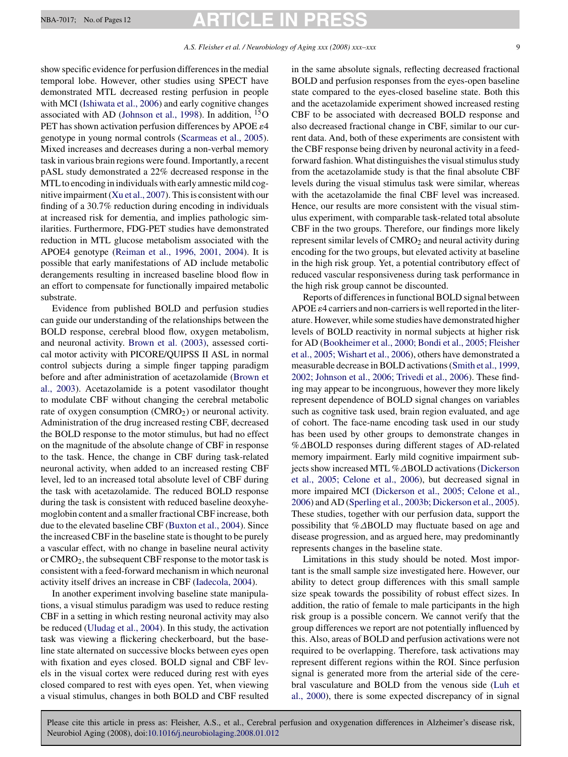# NBA-7017; No. of Pages 12 **ARTICLE IN P**

show specific evidence for perfusion differences in the medial temporal lobe. However, other studies using SPECT have demonstrated MTL decreased resting perfusion in people with MCI ([Ishiwata et al., 2006\)](#page-10-0) and early cognitive changes associated with AD ([Johnson et al., 1998\).](#page-10-0) In addition, 15O PET has shown activation perfusion differences by APOE  $\varepsilon$ 4 genotype in young normal controls ([Scarmeas et al., 2005\).](#page-10-0) Mixed increases and decreases during a non-verbal memory task in various brain regions were found. Importantly, a recent pASL study demonstrated a 22% decreased response in the MTL to encoding in individuals with early amnestic mild cognitive impairment [\(Xu et al., 2007\).](#page-11-0) This is consistent with our finding of a 30.7% reduction during encoding in individuals at increased risk for dementia, and implies pathologic similarities. Furthermore, FDG-PET studies have demonstrated reduction in MTL glucose metabolism associated with the APOE4 genotype [\(Reiman et al., 1996, 2001, 2004\).](#page-10-0) It is possible that early manifestations of AD include metabolic derangements resulting in increased baseline blood flow in an effort to compensate for functionally impaired metabolic substrate.

Evidence from published BOLD and perfusion studies can guide our understanding of the relationships between the BOLD response, cerebral blood flow, oxygen metabolism, and neuronal activity. [Brown et al. \(2003\),](#page-9-0) assessed cortical motor activity with PICORE/QUIPSS II ASL in normal control subjects during a simple finger tapping paradigm before and after administration of acetazolamide ([Brown et](#page-9-0) [al., 2003\).](#page-9-0) Acetazolamide is a potent vasodilator thought to modulate CBF without changing the cerebral metabolic rate of oxygen consumption  $(CMRO<sub>2</sub>)$  or neuronal activity. Administration of the drug increased resting CBF, decreased the BOLD response to the motor stimulus, but had no effect on the magnitude of the absolute change of CBF in response to the task. Hence, the change in CBF during task-related neuronal activity, when added to an increased resting CBF level, led to an increased total absolute level of CBF during the task with acetazolamide. The reduced BOLD response during the task is consistent with reduced baseline deoxyhemoglobin content and a smaller fractional CBF increase, both due to the elevated baseline CBF ([Buxton et al., 2004\).](#page-9-0) Since the increased CBF in the baseline state is thought to be purely a vascular effect, with no change in baseline neural activity or CMRO2, the subsequent CBF response to the motor task is consistent with a feed-forward mechanism in which neuronal activity itself drives an increase in CBF ([Iadecola, 2004\).](#page-10-0)

In another experiment involving baseline state manipulations, a visual stimulus paradigm was used to reduce resting CBF in a setting in which resting neuronal activity may also be reduced ([Uludag et al., 2004\).](#page-11-0) In this study, the activation task was viewing a flickering checkerboard, but the baseline state alternated on successive blocks between eyes open with fixation and eyes closed. BOLD signal and CBF levels in the visual cortex were reduced during rest with eyes closed compared to rest with eyes open. Yet, when viewing a visual stimulus, changes in both BOLD and CBF resulted in the same absolute signals, reflecting decreased fractional BOLD and perfusion responses from the eyes-open baseline state compared to the eyes-closed baseline state. Both this and the acetazolamide experiment showed increased resting CBF to be associated with decreased BOLD response and also decreased fractional change in CBF, similar to our current data. And, both of these experiments are consistent with the CBF response being driven by neuronal activity in a feedforward fashion. What distinguishes the visual stimulus study from the acetazolamide study is that the final absolute CBF levels during the visual stimulus task were similar, whereas with the acetazolamide the final CBF level was increased. Hence, our results are more consistent with the visual stimulus experiment, with comparable task-related total absolute CBF in the two groups. Therefore, our findings more likely represent similar levels of CMRO<sub>2</sub> and neural activity during encoding for the two groups, but elevated activity at baseline in the high risk group. Yet, a potential contributory effect of reduced vascular responsiveness during task performance in the high risk group cannot be discounted.

Reports of differences in functional BOLD signal between APOE  $\varepsilon$ 4 carriers and non-carriers is well reported in the literature. However, while some studies have demonstrated higher levels of BOLD reactivity in normal subjects at higher risk for AD ([Bookheimer et al., 2000; Bondi et al., 2005; Fleisher](#page-9-0) [et al., 2005; Wishart et al., 2006\),](#page-9-0) others have demonstrated a measurable decrease in BOLD activations [\(Smith et al., 1999,](#page-10-0) [2002; Johnson et al., 2006; Trivedi et al., 2006\).](#page-10-0) These finding may appear to be incongruous, however they more likely represent dependence of BOLD signal changes on variables such as cognitive task used, brain region evaluated, and age of cohort. The face-name encoding task used in our study has been used by other groups to demonstrate changes in %ΔBOLD responses during different stages of AD-related memory impairment. Early mild cognitive impairment subjects show increased MTL %ΔBOLD activations ([Dickerson](#page-9-0) [et al., 2005; Celone et al., 2006\),](#page-9-0) but decreased signal in more impaired MCI ([Dickerson et al., 2005; Celone et al.,](#page-9-0) [2006\) a](#page-9-0)nd AD [\(Sperling et al., 2003b; Dickerson et al., 2005\).](#page-11-0) These studies, together with our perfusion data, support the possibility that %ΔBOLD may fluctuate based on age and disease progression, and as argued here, may predominantly represents changes in the baseline state.

Limitations in this study should be noted. Most important is the small sample size investigated here. However, our ability to detect group differences with this small sample size speak towards the possibility of robust effect sizes. In addition, the ratio of female to male participants in the high risk group is a possible concern. We cannot verify that the group differences we report are not potentially influenced by this. Also, areas of BOLD and perfusion activations were not required to be overlapping. Therefore, task activations may represent different regions within the ROI. Since perfusion signal is generated more from the arterial side of the cerebral vasculature and BOLD from the venous side ([Luh et](#page-10-0) [al., 2000\),](#page-10-0) there is some expected discrepancy of in signal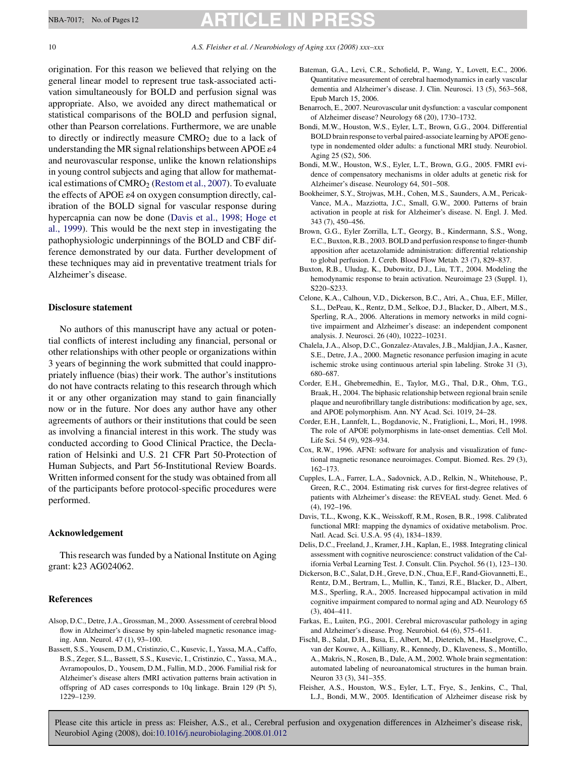# <span id="page-9-0"></span>NBA-7017; No. of Pages 12 **ARTICLE IN**

10 *A.S. Fleisher et al. / Neurobiology of Aging xxx (2008) xxx–xxx*

origination. For this reason we believed that relying on the general linear model to represent true task-associated activation simultaneously for BOLD and perfusion signal was appropriate. Also, we avoided any direct mathematical or statistical comparisons of the BOLD and perfusion signal, other than Pearson correlations. Furthermore, we are unable to directly or indirectly measure  $CMRO<sub>2</sub>$  due to a lack of understanding the MR signal relationships between APOE  $\varepsilon$ 4 and neurovascular response, unlike the known relationships in young control subjects and aging that allow for mathemat-ical estimations of CMRO<sub>2</sub> [\(Restom et al., 2007\).](#page-10-0) To evaluate the effects of APOE  $\varepsilon$ 4 on oxygen consumption directly, calibration of the BOLD signal for vascular response during hypercapnia can now be done (Davis et al., 1998; Hoge et al., 1999). This would be the next step in investigating the pathophysiologic underpinnings of the BOLD and CBF difference demonstrated by our data. Further development of these techniques may aid in preventative treatment trials for Alzheimer's disease.

### **Disclosure statement**

No authors of this manuscript have any actual or potential conflicts of interest including any financial, personal or other relationships with other people or organizations within 3 years of beginning the work submitted that could inappropriately influence (bias) their work. The author's institutions do not have contracts relating to this research through which it or any other organization may stand to gain financially now or in the future. Nor does any author have any other agreements of authors or their institutions that could be seen as involving a financial interest in this work. The study was conducted according to Good Clinical Practice, the Declaration of Helsinki and U.S. 21 CFR Part 50-Protection of Human Subjects, and Part 56-Institutional Review Boards. Written informed consent for the study was obtained from all of the participants before protocol-specific procedures were performed.

# **Acknowledgement**

This research was funded by a National Institute on Aging grant: k23 AG024062.

# **References**

- Alsop, D.C., Detre, J.A., Grossman, M., 2000. Assessment of cerebral blood flow in Alzheimer's disease by spin-labeled magnetic resonance imaging. Ann. Neurol. 47 (1), 93–100.
- Bassett, S.S., Yousem, D.M., Cristinzio, C., Kusevic, I., Yassa, M.A., Caffo, B.S., Zeger, S.L., Bassett, S.S., Kusevic, I., Cristinzio, C., Yassa, M.A., Avramopoulos, D., Yousem, D.M., Fallin, M.D., 2006. Familial risk for Alzheimer's disease alters fMRI activation patterns brain activation in offspring of AD cases corresponds to 10q linkage. Brain 129 (Pt 5), 1229–1239.
- Bateman, G.A., Levi, C.R., Schofield, P., Wang, Y., Lovett, E.C., 2006. Quantitative measurement of cerebral haemodynamics in early vascular dementia and Alzheimer's disease. J. Clin. Neurosci. 13 (5), 563–568, Epub March 15, 2006.
- Benarroch, E., 2007. Neurovascular unit dysfunction: a vascular component of Alzheimer disease? Neurology 68 (20), 1730–1732.
- Bondi, M.W., Houston, W.S., Eyler, L.T., Brown, G.G., 2004. Differential BOLD brain response to verbal paired-associate learning by APOE genotype in nondemented older adults: a functional MRI study. Neurobiol. Aging 25 (S2), 506.
- Bondi, M.W., Houston, W.S., Eyler, L.T., Brown, G.G., 2005. FMRI evidence of compensatory mechanisms in older adults at genetic risk for Alzheimer's disease. Neurology 64, 501–508.
- Bookheimer, S.Y., Strojwas, M.H., Cohen, M.S., Saunders, A.M., Pericak-Vance, M.A., Mazziotta, J.C., Small, G.W., 2000. Patterns of brain activation in people at risk for Alzheimer's disease. N. Engl. J. Med. 343 (7), 450–456.
- Brown, G.G., Eyler Zorrilla, L.T., Georgy, B., Kindermann, S.S., Wong, E.C., Buxton, R.B., 2003. BOLD and perfusion response to finger-thumb apposition after acetazolamide administration: differential relationship to global perfusion. J. Cereb. Blood Flow Metab. 23 (7), 829–837.
- Buxton, R.B., Uludag, K., Dubowitz, D.J., Liu, T.T., 2004. Modeling the hemodynamic response to brain activation. Neuroimage 23 (Suppl. 1), S220–S233.
- Celone, K.A., Calhoun, V.D., Dickerson, B.C., Atri, A., Chua, E.F., Miller, S.L., DePeau, K., Rentz, D.M., Selkoe, D.J., Blacker, D., Albert, M.S., Sperling, R.A., 2006. Alterations in memory networks in mild cognitive impairment and Alzheimer's disease: an independent component analysis. J. Neurosci. 26 (40), 10222–10231.
- Chalela, J.A., Alsop, D.C., Gonzalez-Atavales, J.B., Maldjian, J.A., Kasner, S.E., Detre, J.A., 2000. Magnetic resonance perfusion imaging in acute ischemic stroke using continuous arterial spin labeling. Stroke 31 (3), 680–687.
- Corder, E.H., Ghebremedhin, E., Taylor, M.G., Thal, D.R., Ohm, T.G., Braak, H., 2004. The biphasic relationship between regional brain senile plaque and neurofibrillary tangle distributions: modification by age, sex, and APOE polymorphism. Ann. NY Acad. Sci. 1019, 24–28.
- Corder, E.H., Lannfelt, L., Bogdanovic, N., Fratiglioni, L., Mori, H., 1998. The role of APOE polymorphisms in late-onset dementias. Cell Mol. Life Sci. 54 (9), 928–934.
- Cox, R.W., 1996. AFNI: software for analysis and visualization of functional magnetic resonance neuroimages. Comput. Biomed. Res. 29 (3), 162–173.
- Cupples, L.A., Farrer, L.A., Sadovnick, A.D., Relkin, N., Whitehouse, P., Green, R.C., 2004. Estimating risk curves for first-degree relatives of patients with Alzheimer's disease: the REVEAL study. Genet. Med. 6 (4), 192–196.
- Davis, T.L., Kwong, K.K., Weisskoff, R.M., Rosen, B.R., 1998. Calibrated functional MRI: mapping the dynamics of oxidative metabolism. Proc. Natl. Acad. Sci. U.S.A. 95 (4), 1834–1839.
- Delis, D.C., Freeland, J., Kramer, J.H., Kaplan, E., 1988. Integrating clinical assessment with cognitive neuroscience: construct validation of the California Verbal Learning Test. J. Consult. Clin. Psychol. 56 (1), 123–130.
- Dickerson, B.C., Salat, D.H., Greve, D.N., Chua, E.F., Rand-Giovannetti, E., Rentz, D.M., Bertram, L., Mullin, K., Tanzi, R.E., Blacker, D., Albert, M.S., Sperling, R.A., 2005. Increased hippocampal activation in mild cognitive impairment compared to normal aging and AD. Neurology 65 (3), 404–411.
- Farkas, E., Luiten, P.G., 2001. Cerebral microvascular pathology in aging and Alzheimer's disease. Prog. Neurobiol. 64 (6), 575–611.
- Fischl, B., Salat, D.H., Busa, E., Albert, M., Dieterich, M., Haselgrove, C., van der Kouwe, A., Killiany, R., Kennedy, D., Klaveness, S., Montillo, A., Makris, N., Rosen, B., Dale, A.M., 2002. Whole brain segmentation: automated labeling of neuroanatomical structures in the human brain. Neuron 33 (3), 341–355.
- Fleisher, A.S., Houston, W.S., Eyler, L.T., Frye, S., Jenkins, C., Thal, L.J., Bondi, M.W., 2005. Identification of Alzheimer disease risk by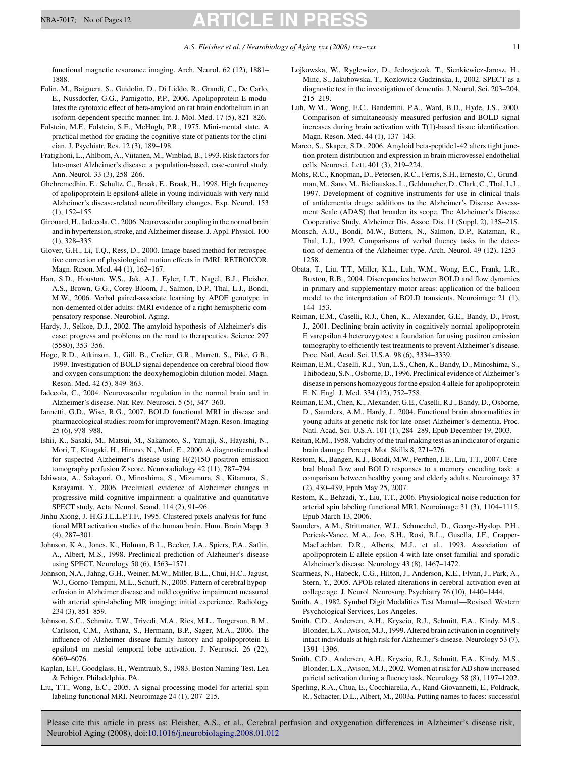# <span id="page-10-0"></span>NBA-7017; No. of Pages 12 **ARTICLE IN**

functional magnetic resonance imaging. Arch. Neurol. 62 (12), 1881– 1888.

- Folin, M., Baiguera, S., Guidolin, D., Di Liddo, R., Grandi, C., De Carlo, E., Nussdorfer, G.G., Parnigotto, P.P., 2006. Apolipoprotein-E modulates the cytotoxic effect of beta-amyloid on rat brain endothelium in an isoform-dependent specific manner. Int. J. Mol. Med. 17 (5), 821–826.
- Folstein, M.F., Folstein, S.E., McHugh, P.R., 1975. Mini-mental state. A practical method for grading the cognitive state of patients for the clinician. J. Psychiatr. Res. 12 (3), 189–198.
- Fratiglioni, L., Ahlbom, A., Viitanen, M., Winblad, B., 1993. Risk factors for late-onset Alzheimer's disease: a population-based, case-control study. Ann. Neurol. 33 (3), 258–266.
- Ghebremedhin, E., Schultz, C., Braak, E., Braak, H., 1998. High frequency of apolipoprotein E epsilon4 allele in young individuals with very mild Alzheimer's disease-related neurofibrillary changes. Exp. Neurol. 153 (1), 152–155.
- Girouard, H., Iadecola, C., 2006. Neurovascular coupling in the normal brain and in hypertension, stroke, and Alzheimer disease. J. Appl. Physiol. 100 (1), 328–335.
- Glover, G.H., Li, T.Q., Ress, D., 2000. Image-based method for retrospective correction of physiological motion effects in fMRI: RETROICOR. Magn. Reson. Med. 44 (1), 162–167.
- Han, S.D., Houston, W.S., Jak, A.J., Eyler, L.T., Nagel, B.J., Fleisher, A.S., Brown, G.G., Corey-Bloom, J., Salmon, D.P., Thal, L.J., Bondi, M.W., 2006. Verbal paired-associate learning by APOE genotype in non-demented older adults: fMRI evidence of a right hemispheric compensatory response. Neurobiol. Aging.
- Hardy, J., Selkoe, D.J., 2002. The amyloid hypothesis of Alzheimer's disease: progress and problems on the road to therapeutics. Science 297 (5580), 353–356.
- Hoge, R.D., Atkinson, J., Gill, B., Crelier, G.R., Marrett, S., Pike, G.B., 1999. Investigation of BOLD signal dependence on cerebral blood flow and oxygen consumption: the deoxyhemoglobin dilution model. Magn. Reson. Med. 42 (5), 849–863.
- Iadecola, C., 2004. Neurovascular regulation in the normal brain and in Alzheimer's disease. Nat. Rev. Neurosci. 5 (5), 347–360.
- Iannetti, G.D., Wise, R.G., 2007. BOLD functional MRI in disease and pharmacological studies: room for improvement? Magn. Reson. Imaging 25 (6), 978–988.
- Ishii, K., Sasaki, M., Matsui, M., Sakamoto, S., Yamaji, S., Hayashi, N., Mori, T., Kitagaki, H., Hirono, N., Mori, E., 2000. A diagnostic method for suspected Alzheimer's disease using H(2)15O positron emission tomography perfusion Z score. Neuroradiology 42 (11), 787–794.
- Ishiwata, A., Sakayori, O., Minoshima, S., Mizumura, S., Kitamura, S., Katayama, Y., 2006. Preclinical evidence of Alzheimer changes in progressive mild cognitive impairment: a qualitative and quantitative SPECT study. Acta. Neurol. Scand. 114 (2), 91–96.
- Jinhu Xiong, J.-H.G.J.L.L.P.T.F., 1995. Clustered pixels analysis for functional MRI activation studies of the human brain. Hum. Brain Mapp. 3 (4), 287–301.
- Johnson, K.A., Jones, K., Holman, B.L., Becker, J.A., Spiers, P.A., Satlin, A., Albert, M.S., 1998. Preclinical prediction of Alzheimer's disease using SPECT. Neurology 50 (6), 1563–1571.
- Johnson, N.A., Jahng, G.H., Weiner, M.W., Miller, B.L., Chui, H.C., Jagust, W.J., Gorno-Tempini, M.L., Schuff, N., 2005. Pattern of cerebral hypoperfusion in Alzheimer disease and mild cognitive impairment measured with arterial spin-labeling MR imaging: initial experience. Radiology 234 (3), 851–859.
- Johnson, S.C., Schmitz, T.W., Trivedi, M.A., Ries, M.L., Torgerson, B.M., Carlsson, C.M., Asthana, S., Hermann, B.P., Sager, M.A., 2006. The influence of Alzheimer disease family history and apolipoprotein E epsilon4 on mesial temporal lobe activation. J. Neurosci. 26 (22), 6069–6076.
- Kaplan, E.F., Goodglass, H., Weintraub, S., 1983. Boston Naming Test. Lea & Febiger, Philadelphia, PA.
- Liu, T.T., Wong, E.C., 2005. A signal processing model for arterial spin labeling functional MRI. Neuroimage 24 (1), 207–215.
- Lojkowska, W., Ryglewicz, D., Jedrzejczak, T., Sienkiewicz-Jarosz, H., Minc, S., Jakubowska, T., Kozlowicz-Gudzinska, I., 2002. SPECT as a diagnostic test in the investigation of dementia. J. Neurol. Sci. 203–204, 215–219.
- Luh, W.M., Wong, E.C., Bandettini, P.A., Ward, B.D., Hyde, J.S., 2000. Comparison of simultaneously measured perfusion and BOLD signal increases during brain activation with T(1)-based tissue identification. Magn. Reson. Med. 44 (1), 137–143.
- Marco, S., Skaper, S.D., 2006. Amyloid beta-peptide1-42 alters tight junction protein distribution and expression in brain microvessel endothelial cells. Neurosci. Lett. 401 (3), 219–224.
- Mohs, R.C., Knopman, D., Petersen, R.C., Ferris, S.H., Ernesto, C., Grundman, M., Sano, M., Bieliauskas, L., Geldmacher, D., Clark, C., Thal, L.J., 1997. Development of cognitive instruments for use in clinical trials of antidementia drugs: additions to the Alzheimer's Disease Assessment Scale (ADAS) that broaden its scope. The Alzheimer's Disease Cooperative Study. Alzheimer Dis. Assoc. Dis. 11 (Suppl. 2), 13S–21S.
- Monsch, A.U., Bondi, M.W., Butters, N., Salmon, D.P., Katzman, R., Thal, L.J., 1992. Comparisons of verbal fluency tasks in the detection of dementia of the Alzheimer type. Arch. Neurol. 49 (12), 1253– 1258.
- Obata, T., Liu, T.T., Miller, K.L., Luh, W.M., Wong, E.C., Frank, L.R., Buxton, R.B., 2004. Discrepancies between BOLD and flow dynamics in primary and supplementary motor areas: application of the balloon model to the interpretation of BOLD transients. Neuroimage 21 (1), 144–153.
- Reiman, E.M., Caselli, R.J., Chen, K., Alexander, G.E., Bandy, D., Frost, J., 2001. Declining brain activity in cognitively normal apolipoprotein E varepsilon 4 heterozygotes: a foundation for using positron emission tomography to efficiently test treatments to prevent Alzheimer's disease. Proc. Natl. Acad. Sci. U.S.A. 98 (6), 3334–3339.
- Reiman, E.M., Caselli, R.J., Yun, L.S., Chen, K., Bandy, D., Minoshima, S., Thibodeau, S.N., Osborne, D., 1996. Preclinical evidence of Alzheimer's disease in persons homozygous for the epsilon 4 allele for apolipoprotein E. N. Engl. J. Med. 334 (12), 752–758.
- Reiman, E.M., Chen, K., Alexander, G.E., Caselli, R.J., Bandy, D., Osborne, D., Saunders, A.M., Hardy, J., 2004. Functional brain abnormalities in young adults at genetic risk for late-onset Alzheimer's dementia. Proc. Natl. Acad. Sci. U.S.A. 101 (1), 284–289, Epub December 19, 2003.
- Reitan, R.M., 1958. Validity of the trail making test as an indicator of organic brain damage. Percept. Mot. Skills 8, 271–276.
- Restom, K., Bangen, K.J., Bondi, M.W., Perthen, J.E., Liu, T.T., 2007. Cerebral blood flow and BOLD responses to a memory encoding task: a comparison between healthy young and elderly adults. Neuroimage 37 (2), 430–439, Epub May 25, 2007.
- Restom, K., Behzadi, Y., Liu, T.T., 2006. Physiological noise reduction for arterial spin labeling functional MRI. Neuroimage 31 (3), 1104–1115, Epub March 13, 2006.
- Saunders, A.M., Strittmatter, W.J., Schmechel, D., George-Hyslop, P.H., Pericak-Vance, M.A., Joo, S.H., Rosi, B.L., Gusella, J.F., Crapper-MacLachlan, D.R., Alberts, M.J., et al., 1993. Association of apolipoprotein E allele epsilon 4 with late-onset familial and sporadic Alzheimer's disease. Neurology 43 (8), 1467–1472.
- Scarmeas, N., Habeck, C.G., Hilton, J., Anderson, K.E., Flynn, J., Park, A., Stern, Y., 2005. APOE related alterations in cerebral activation even at college age. J. Neurol. Neurosurg. Psychiatry 76 (10), 1440–1444.
- Smith, A., 1982. Symbol Digit Modalities Test Manual—Revised. Western Psychological Services, Los Angeles.
- Smith, C.D., Andersen, A.H., Kryscio, R.J., Schmitt, F.A., Kindy, M.S., Blonder, L.X., Avison, M.J., 1999. Altered brain activation in cognitively intact individuals at high risk for Alzheimer's disease. Neurology 53 (7), 1391–1396.
- Smith, C.D., Andersen, A.H., Kryscio, R.J., Schmitt, F.A., Kindy, M.S., Blonder, L.X., Avison, M.J., 2002. Women at risk for AD show increased parietal activation during a fluency task. Neurology 58 (8), 1197–1202.
- Sperling, R.A., Chua, E., Cocchiarella, A., Rand-Giovannetti, E., Poldrack, R., Schacter, D.L., Albert, M., 2003a. Putting names to faces: successful